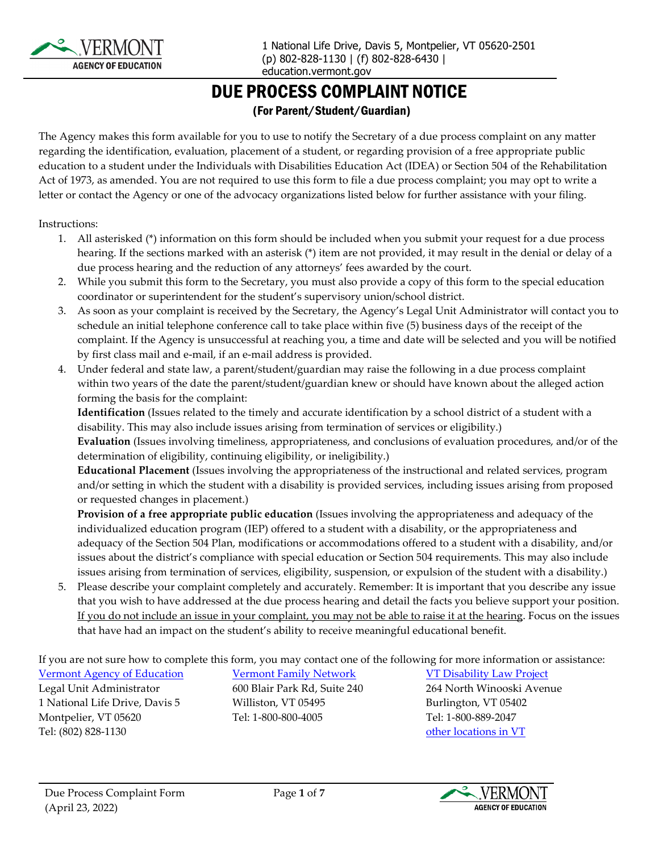

# DUE PROCESS COMPLAINT NOTICE (For Parent/Student/Guardian)

The Agency makes this form available for you to use to notify the Secretary of a due process complaint on any matter regarding the identification, evaluation, placement of a student, or regarding provision of a free appropriate public education to a student under the Individuals with Disabilities Education Act (IDEA) or Section 504 of the Rehabilitation Act of 1973, as amended. You are not required to use this form to file a due process complaint; you may opt to write a letter or contact the Agency or one of the advocacy organizations listed below for further assistance with your filing.

Instructions:

- 1. All asterisked (\*) information on this form should be included when you submit your request for a due process hearing. If the sections marked with an asterisk (\*) item are not provided, it may result in the denial or delay of a due process hearing and the reduction of any attorneys' fees awarded by the court.
- 2. While you submit this form to the Secretary, you must also provide a copy of this form to the special education coordinator or superintendent for the student's supervisory union/school district.
- 3. As soon as your complaint is received by the Secretary, the Agency's Legal Unit Administrator will contact you to schedule an initial telephone conference call to take place within five (5) business days of the receipt of the complaint. If the Agency is unsuccessful at reaching you, a time and date will be selected and you will be notified by first class mail and e-mail, if an e-mail address is provided.
- 4. Under federal and state law, a parent/student/guardian may raise the following in a due process complaint within two years of the date the parent/student/guardian knew or should have known about the alleged action forming the basis for the complaint:

**Identification** (Issues related to the timely and accurate identification by a school district of a student with a disability. This may also include issues arising from termination of services or eligibility.)

**Evaluation** (Issues involving timeliness, appropriateness, and conclusions of evaluation procedures, and/or of the determination of eligibility, continuing eligibility, or ineligibility.)

**Educational Placement** (Issues involving the appropriateness of the instructional and related services, program and/or setting in which the student with a disability is provided services, including issues arising from proposed or requested changes in placement.)

**Provision of a free appropriate public education** (Issues involving the appropriateness and adequacy of the individualized education program (IEP) offered to a student with a disability, or the appropriateness and adequacy of the Section 504 Plan, modifications or accommodations offered to a student with a disability, and/or issues about the district's compliance with special education or Section 504 requirements. This may also include issues arising from termination of services, eligibility, suspension, or expulsion of the student with a disability.)

5. Please describe your complaint completely and accurately. Remember: It is important that you describe any issue that you wish to have addressed at the due process hearing and detail the facts you believe support your position. If you do not include an issue in your complaint, you may not be able to raise it at the hearing. Focus on the issues that have had an impact on the student's ability to receive meaningful educational benefit.

If you are not sure how to complete this form, you may contact one of the following for more information or assistance:

[Vermont Agency of Education](http://education.vermont.gov/) [Vermont Family Network](http://www.vermontfamilynetwork.org/) [VT Disability Law Project](http://www.vtlegalaid.org/disability-law-project/) Legal Unit Administrator 600 Blair Park Rd, Suite 240 264 North Winooski Avenue 1 National Life Drive, Davis 5 Williston, VT 05495 Burlington, VT 05402 Montpelier, VT 05620 Tel: 1-800-800-4005 Tel: 1-800-889-2047 Tel: (802) 828-1130 **blue 10** other locations in VT

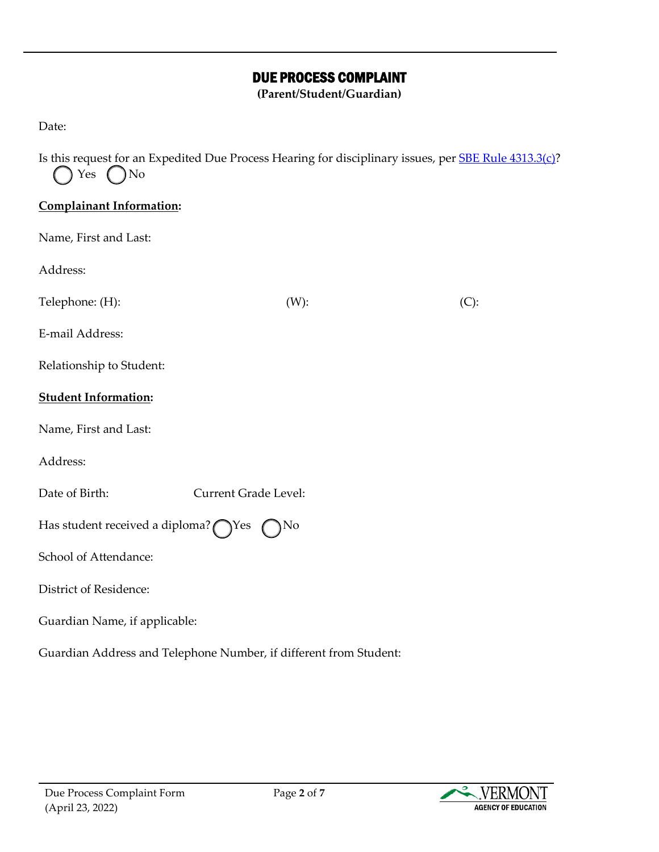# DUE PROCESS COMPLAINT

**(Parent/Student/Guardian)**

Date:

| Yes $\bigcap$ No                              | Is this request for an Expedited Due Process Hearing for disciplinary issues, per <b>SBE Rule 4313.3(c)?</b> |      |
|-----------------------------------------------|--------------------------------------------------------------------------------------------------------------|------|
| <b>Complainant Information:</b>               |                                                                                                              |      |
| Name, First and Last:                         |                                                                                                              |      |
| Address:                                      |                                                                                                              |      |
| Telephone: (H):                               | $(W)$ :                                                                                                      | (C): |
| E-mail Address:                               |                                                                                                              |      |
| Relationship to Student:                      |                                                                                                              |      |
| <b>Student Information:</b>                   |                                                                                                              |      |
| Name, First and Last:                         |                                                                                                              |      |
| Address:                                      |                                                                                                              |      |
| Date of Birth:                                | Current Grade Level:                                                                                         |      |
| Has student received a diploma? $\bigcap$ Yes | $\bigcap$ No                                                                                                 |      |
| School of Attendance:                         |                                                                                                              |      |
| District of Residence:                        |                                                                                                              |      |
| Guardian Name, if applicable:                 |                                                                                                              |      |
|                                               | Guardian Address and Telephone Number, if different from Student:                                            |      |

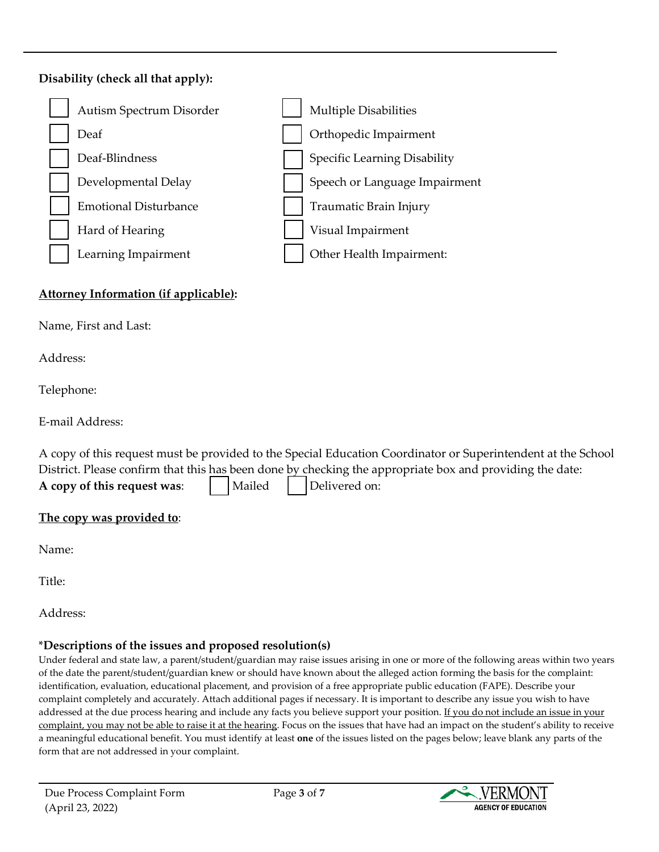### **Disability (check all that apply):**

| Autism Spectrum Disorder     | Multiple Disabilities         |
|------------------------------|-------------------------------|
| Deaf                         | Orthopedic Impairment         |
| Deaf-Blindness               | Specific Learning Disability  |
| Developmental Delay          | Speech or Language Impairment |
| <b>Emotional Disturbance</b> | Traumatic Brain Injury        |
| Hard of Hearing              | Visual Impairment             |
| Learning Impairment          | Other Health Impairment:      |

#### **Attorney Information (if applicable):**

| Name, First and Last: |  |
|-----------------------|--|
|-----------------------|--|

Address:

Telephone:

E-mail Address:

A copy of this request must be provided to the Special Education Coordinator or Superintendent at the School District. Please confirm that this has been done by checking the appropriate box and providing the date: **A copy of this request was:**  $\vert$  Mailed  $\vert$  Delivered on:

### **The copy was provided to**:

Name:

Title:

Address:

#### \***Descriptions of the issues and proposed resolution(s)**

Under federal and state law, a parent/student/guardian may raise issues arising in one or more of the following areas within two years of the date the parent/student/guardian knew or should have known about the alleged action forming the basis for the complaint: identification, evaluation, educational placement, and provision of a free appropriate public education (FAPE). Describe your complaint completely and accurately. Attach additional pages if necessary. It is important to describe any issue you wish to have addressed at the due process hearing and include any facts you believe support your position. If you do not include an issue in your complaint, you may not be able to raise it at the hearing. Focus on the issues that have had an impact on the student's ability to receive a meaningful educational benefit. You must identify at least **one** of the issues listed on the pages below; leave blank any parts of the form that are not addressed in your complaint.

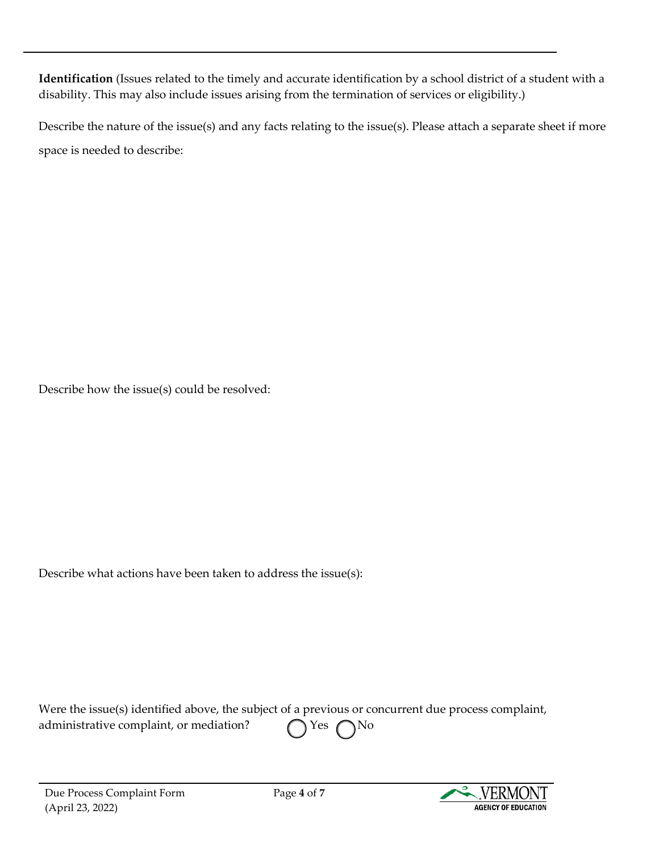**Identification** (Issues related to the timely and accurate identification by a school district of a student with a disability. This may also include issues arising from the termination of services or eligibility.)

Describe the nature of the issue(s) and any facts relating to the issue(s). Please attach a separate sheet if more space is needed to describe:

Describe how the issue(s) could be resolved:

Describe what actions have been taken to address the issue(s):

Were the issue(s) identified above, the subject of a previous or concurrent due process complaint, administrative complaint, or mediation?  $\bigcap$  Yes  $\bigcap$  No

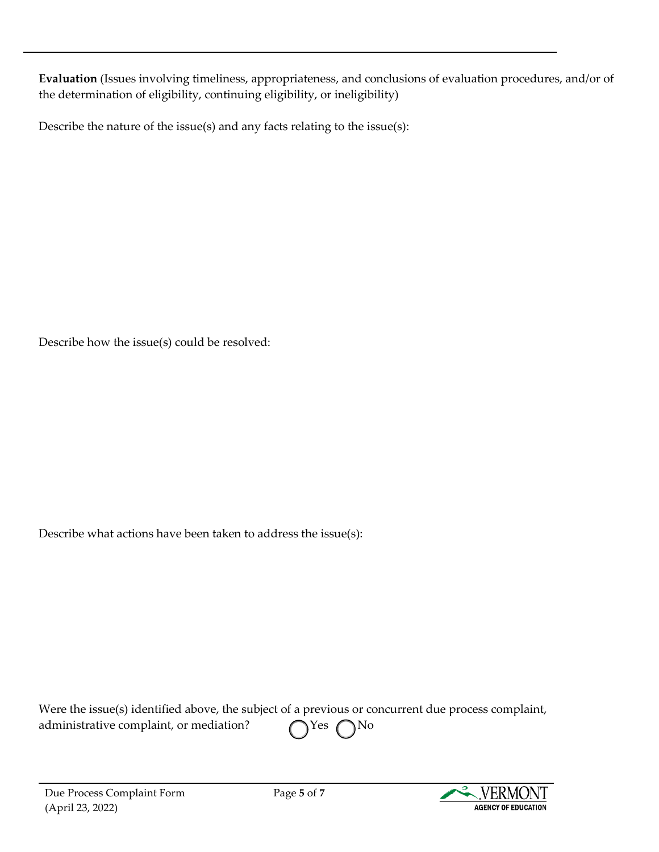**Evaluation** (Issues involving timeliness, appropriateness, and conclusions of evaluation procedures, and/or of the determination of eligibility, continuing eligibility, or ineligibility)

Describe the nature of the issue(s) and any facts relating to the issue(s):

Describe how the issue(s) could be resolved:

Describe what actions have been taken to address the issue(s):

Were the issue(s) identified above, the subject of a previous or concurrent due process complaint, administrative complaint, or mediation?  $\bigcap$  Yes  $\bigcap$  No

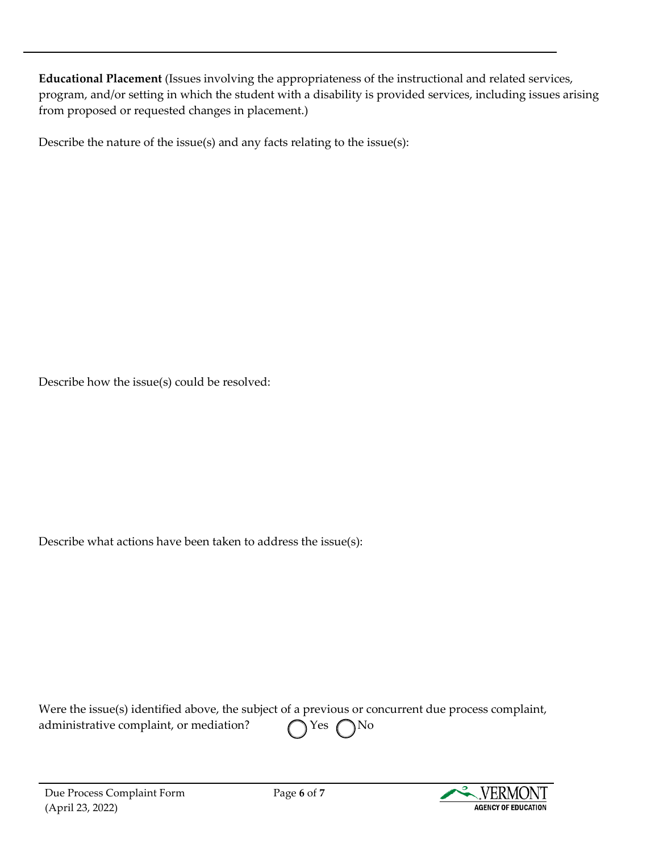**Educational Placement** (Issues involving the appropriateness of the instructional and related services, program, and/or setting in which the student with a disability is provided services, including issues arising from proposed or requested changes in placement.)

Describe the nature of the issue(s) and any facts relating to the issue(s):

Describe how the issue(s) could be resolved:

Describe what actions have been taken to address the issue(s):

Were the issue(s) identified above, the subject of a previous or concurrent due process complaint, administrative complaint, or mediation?  $\bigcap$  Yes  $\bigcap$  No